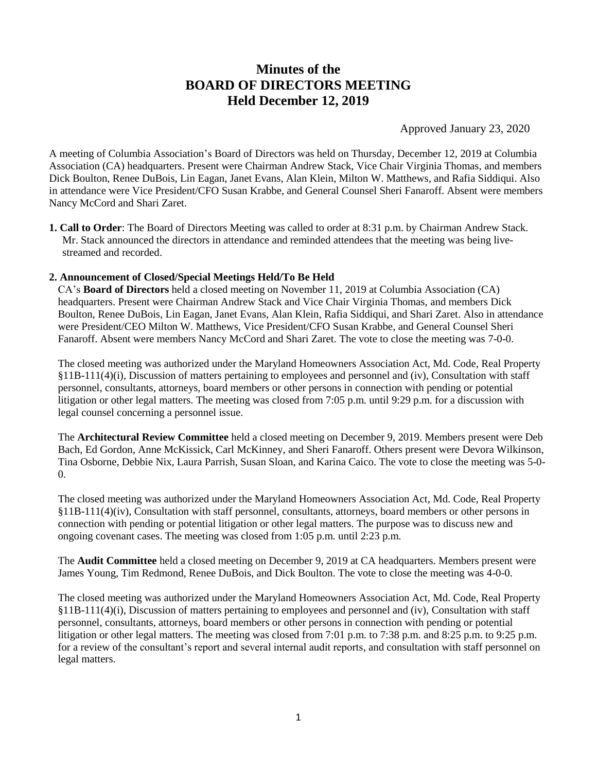# **Minutes of the BOARD OF DIRECTORS MEETING Held December 12, 2019**

Approved January 23, 2020

A meeting of Columbia Association's Board of Directors was held on Thursday, December 12, 2019 at Columbia Association (CA) headquarters. Present were Chairman Andrew Stack, Vice Chair Virginia Thomas, and members Dick Boulton, Renee DuBois, Lin Eagan, Janet Evans, Alan Klein, Milton W. Matthews, and Rafia Siddiqui. Also in attendance were Vice President/CFO Susan Krabbe, and General Counsel Sheri Fanaroff. Absent were members Nancy McCord and Shari Zaret.

**1. Call to Order**: The Board of Directors Meeting was called to order at 8:31 p.m. by Chairman Andrew Stack. Mr. Stack announced the directors in attendance and reminded attendees that the meeting was being livestreamed and recorded.

## **2. Announcement of Closed/Special Meetings Held/To Be Held**

CA's **Board of Directors** held a closed meeting on November 11, 2019 at Columbia Association (CA) headquarters. Present were Chairman Andrew Stack and Vice Chair Virginia Thomas, and members Dick Boulton, Renee DuBois, Lin Eagan, Janet Evans, Alan Klein, Rafia Siddiqui, and Shari Zaret. Also in attendance were President/CEO Milton W. Matthews, Vice President/CFO Susan Krabbe, and General Counsel Sheri Fanaroff. Absent were members Nancy McCord and Shari Zaret. The vote to close the meeting was 7-0-0.

The closed meeting was authorized under the Maryland Homeowners Association Act, Md. Code, Real Property §11B-111(4)(i), Discussion of matters pertaining to employees and personnel and (iv), Consultation with staff personnel, consultants, attorneys, board members or other persons in connection with pending or potential litigation or other legal matters. The meeting was closed from 7:05 p.m. until 9:29 p.m. for a discussion with legal counsel concerning a personnel issue.

The **Architectural Review Committee** held a closed meeting on December 9, 2019. Members present were Deb Bach, Ed Gordon, Anne McKissick, Carl McKinney, and Sheri Fanaroff. Others present were Devora Wilkinson, Tina Osborne, Debbie Nix, Laura Parrish, Susan Sloan, and Karina Caico. The vote to close the meeting was 5-0- 0.

The closed meeting was authorized under the Maryland Homeowners Association Act, Md. Code, Real Property §11B-111(4)(iv), Consultation with staff personnel, consultants, attorneys, board members or other persons in connection with pending or potential litigation or other legal matters. The purpose was to discuss new and ongoing covenant cases. The meeting was closed from 1:05 p.m. until 2:23 p.m.

The **Audit Committee** held a closed meeting on December 9, 2019 at CA headquarters. Members present were James Young, Tim Redmond, Renee DuBois, and Dick Boulton. The vote to close the meeting was 4-0-0.

The closed meeting was authorized under the Maryland Homeowners Association Act, Md. Code, Real Property §11B-111(4)(i), Discussion of matters pertaining to employees and personnel and (iv), Consultation with staff personnel, consultants, attorneys, board members or other persons in connection with pending or potential litigation or other legal matters. The meeting was closed from 7:01 p.m. to 7:38 p.m. and 8:25 p.m. to 9:25 p.m. for a review of the consultant's report and several internal audit reports, and consultation with staff personnel on legal matters.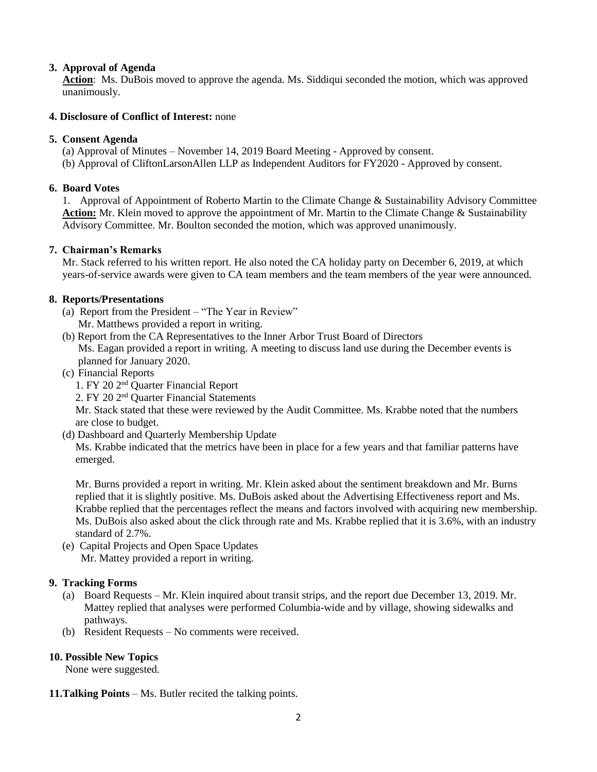# **3. Approval of Agenda**

 **Action**: Ms. DuBois moved to approve the agenda. Ms. Siddiqui seconded the motion, which was approved unanimously.

## **4. Disclosure of Conflict of Interest:** none

## **5. Consent Agenda**

(a) Approval of Minutes – November 14, 2019 Board Meeting - Approved by consent. (b) Approval of CliftonLarsonAllen LLP as Independent Auditors for FY2020 - Approved by consent.

#### **6. Board Votes**

1. Approval of Appointment of Roberto Martin to the Climate Change & Sustainability Advisory Committee Action: Mr. Klein moved to approve the appointment of Mr. Martin to the Climate Change & Sustainability Advisory Committee. Mr. Boulton seconded the motion, which was approved unanimously.

#### **7. Chairman's Remarks**

Mr. Stack referred to his written report. He also noted the CA holiday party on December 6, 2019, at which years-of-service awards were given to CA team members and the team members of the year were announced.

#### **8. Reports/Presentations**

- (a) Report from the President "The Year in Review" Mr. Matthews provided a report in writing.
- (b) Report from the CA Representatives to the Inner Arbor Trust Board of Directors Ms. Eagan provided a report in writing. A meeting to discuss land use during the December events is planned for January 2020.
- (c) Financial Reports
	- 1. FY 20 2nd Quarter Financial Report
	- 2. FY 20 2nd Quarter Financial Statements

Mr. Stack stated that these were reviewed by the Audit Committee. Ms. Krabbe noted that the numbers are close to budget.

(d) Dashboard and Quarterly Membership Update

Ms. Krabbe indicated that the metrics have been in place for a few years and that familiar patterns have emerged.

Mr. Burns provided a report in writing. Mr. Klein asked about the sentiment breakdown and Mr. Burns replied that it is slightly positive. Ms. DuBois asked about the Advertising Effectiveness report and Ms. Krabbe replied that the percentages reflect the means and factors involved with acquiring new membership. Ms. DuBois also asked about the click through rate and Ms. Krabbe replied that it is 3.6%, with an industry standard of 2.7%.

(e) Capital Projects and Open Space Updates Mr. Mattey provided a report in writing.

## **9. Tracking Forms**

- (a) Board Requests Mr. Klein inquired about transit strips, and the report due December 13, 2019. Mr. Mattey replied that analyses were performed Columbia-wide and by village, showing sidewalks and pathways.
- (b) Resident Requests No comments were received.

## **10. Possible New Topics**

None were suggested.

**11.Talking Points** – Ms. Butler recited the talking points.